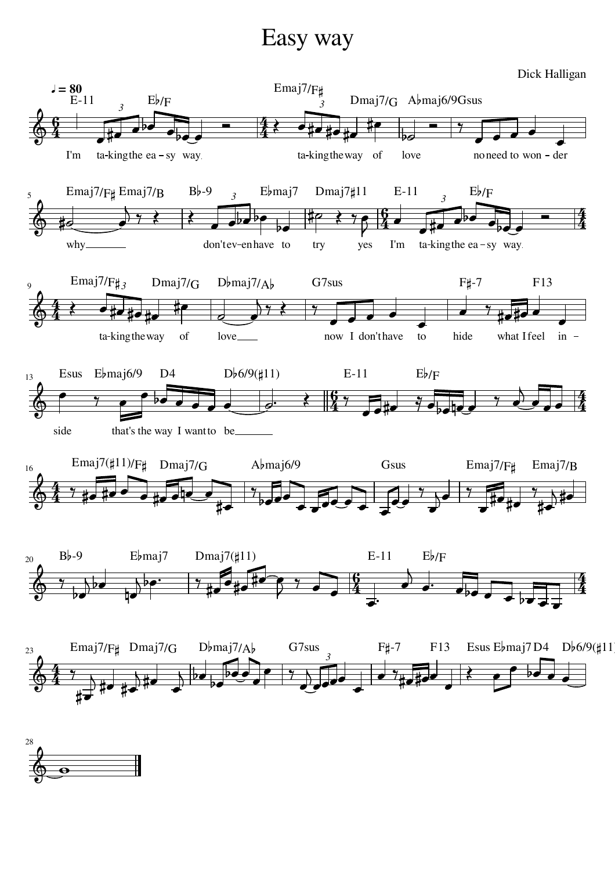## Easy way



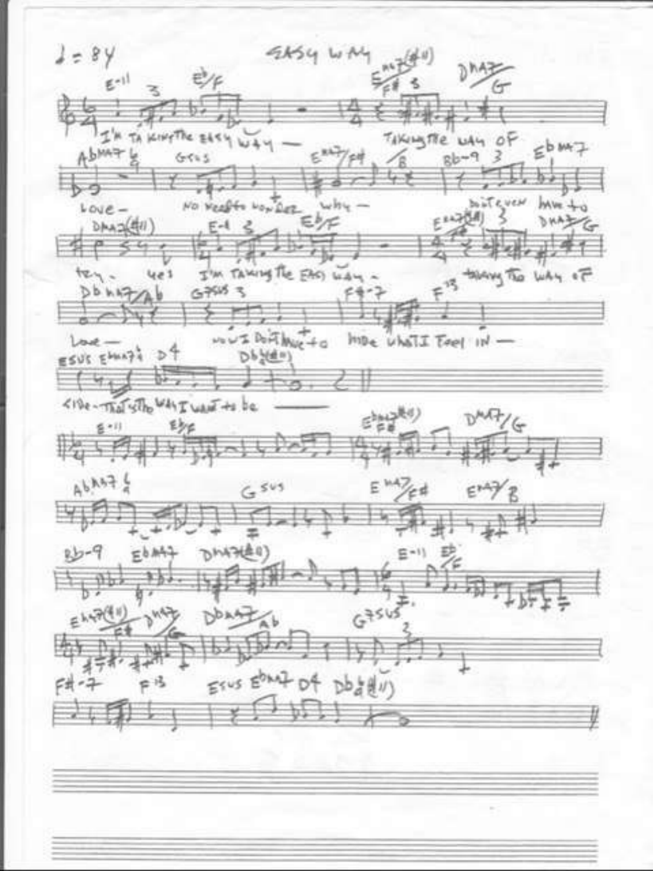EASY WA  $2 = 84$ hA  $E^{-11}$ 电  $\epsilon^{\frac{1}{2}}$  $\epsilon$  $-1$ I I'M TA KINYTHE EASY WAY. TAKILISTE WAY OF  $\n **b**$  $E^{16}$ AbMAT 4 á  $8b - 9$  3  $GriS$  $^{\circ}$ ゥ NO VERSES NON DEE ENF boistevew<br>(d) 3 MVE 40  $Love-$ FRATOMI DAAZE DAA2(41)  $E-1$ tey. I'M TAXING The EAST WAY. they to like of  $4e<sub>3</sub>$ 呉  $Db h5706$  $G+5153$  $e + 1$  $\sim$  $w = b \pi h_{\text{MSE}} + c$  the unstituted  $W$  $back -$ ESUS EMAZI D4 Db (d =)  $V_{14}$ <I've - That site why want to be  $\varepsilon^{\mathrm{hag}(0)}_{\mu\nu}$  $D^{\text{AAG}}/G$  $\mathbb{S}^{(n,1)}$ 到  $A^{b, h+1}$  $E^{\mu\nu}/\epsilon$  $G$  sus  $E^*$  $E^{bM+1}$ DMACED)  $9 - 9$  $F = 11$  $+b+$  $G<sup>356</sup>$ DOAR Erus Eban7 D4 Dbattl) 戶号  $F# - 7$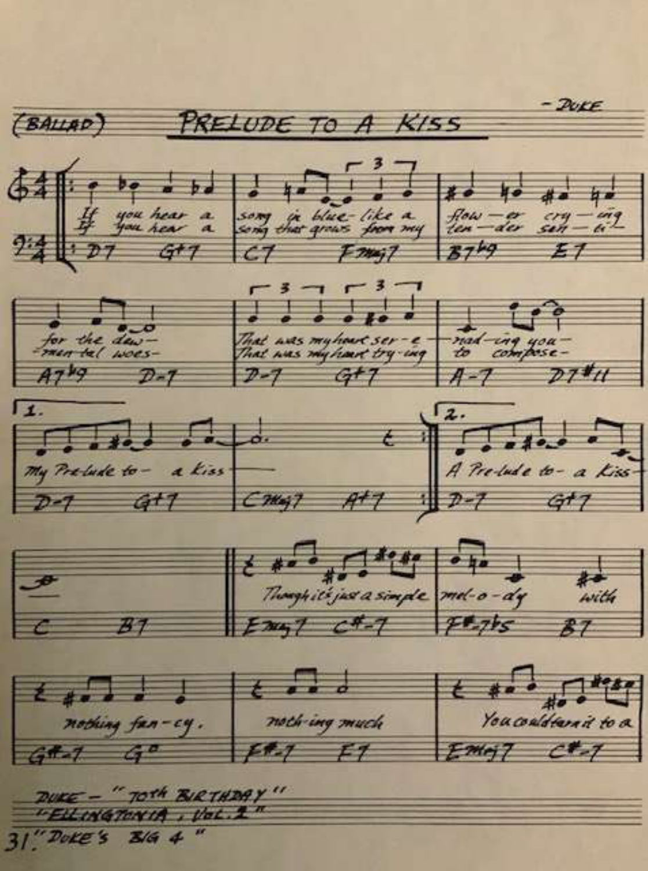

DUKE - "TOTH BIRTHDAY" "ELLINGTONIA , Vol. 1  $31''$  Doke's  $3/6$  4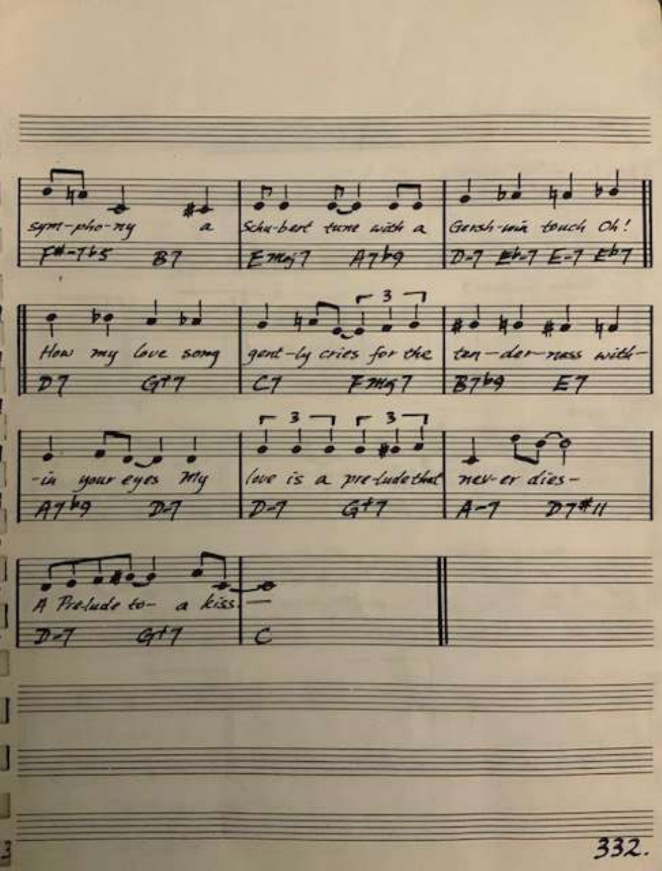$S_{\mu\nu}$  and  $S_{\mu\nu}$  and  $S_{\mu\nu}$  and  $S_{\mu\nu}$  and  $S_{\mu\nu}$  and  $S_{\mu\nu}$  and  $S_{\mu\nu}$  and  $S_{\mu\nu}$  and  $S_{\mu\nu}$  and  $S_{\mu\nu}$  and  $S_{\mu\nu}$  and  $S_{\mu\nu}$  and  $S_{\mu\nu}$  and  $S_{\mu\nu}$  and  $S_{\mu\nu}$  and  $S_{\mu\nu}$  a F  $\begin{array}{|c|c|c|c|c|}\n\hline\n\text{if} & \text{if} & \text{if} & \text{if} & \text{if} & \text{if} & \text{if} & \text{if} & \text{if} & \text{if} & \text{if} & \text{if} & \text{if} & \text{if} & \text{if} & \text{if} & \text{if} & \text{if} & \text{if} & \text{if} & \text{if} & \text{if} & \text{if} & \text{if} & \text{if} & \text{if} & \text{if} & \text{if} & \text{if} & \text{if} & \text{if} & \text{if} & \text{if$  $\begin{array}{|c|c|c|c|c|}\n\hline\n\vdots & \vdots & \vdots & \vdots & \vdots & \vdots & \vdots & \vdots & \vdots & \vdots & \vdots & \vdots & \vdots & \vdots & \vdots & \vdots & \vdots & \vdots & \vdots & \vdots & \vdots & \vdots & \vdots & \vdots & \vdots & \vdots & \vdots & \vdots & \vdots & \vdots & \vdots & \vdots & \vdots &$  $\sqrt{\frac{1}{n} \frac{1}{n}}$  $332.$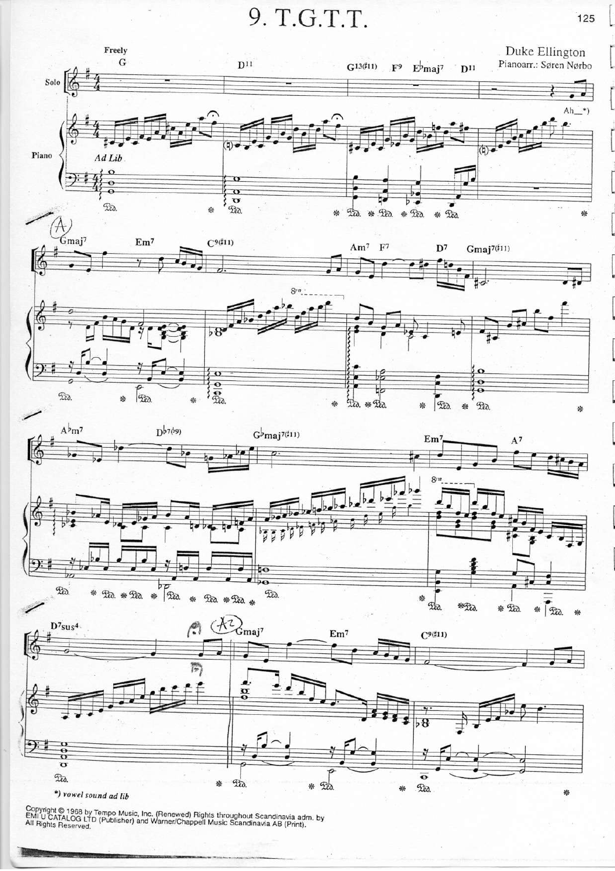9. T.G.T.T.



Copyright © 1968 by Tempo Music, Inc. (Renewed) Rights throughout Scandinavia adm. by<br>EMI U CATALOG LTD (Publisher) and Warner/Chappell Music Scandinavia AB (Print).<br>All Rights Reserved.

125